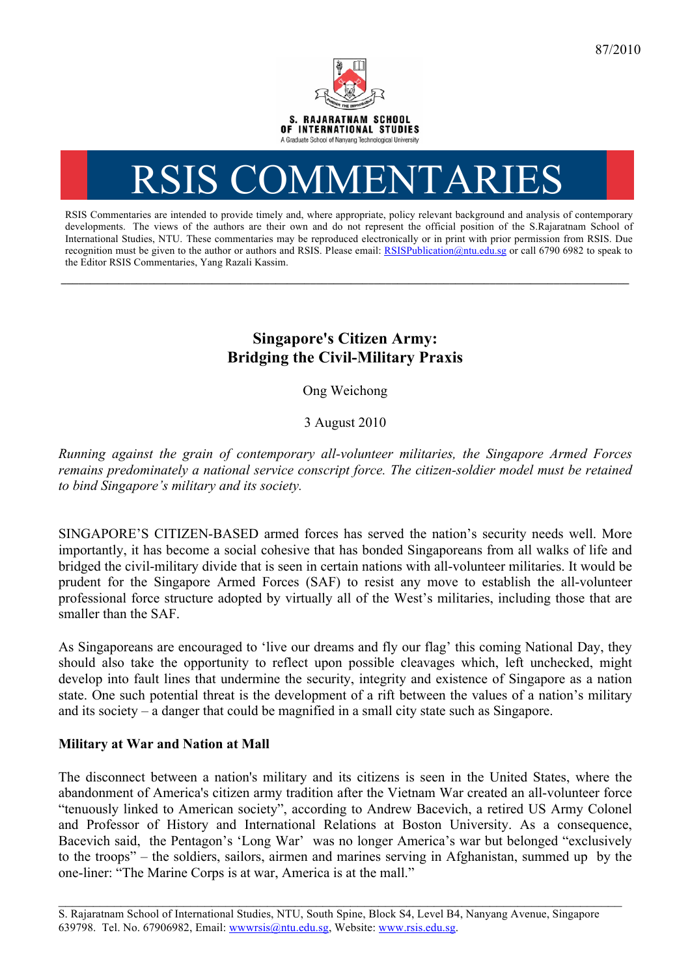

# RSIS COMMENTARI

RSIS Commentaries are intended to provide timely and, where appropriate, policy relevant background and analysis of contemporary developments. The views of the authors are their own and do not represent the official position of the S.Rajaratnam School of International Studies, NTU. These commentaries may be reproduced electronically or in print with prior permission from RSIS. Due recognition must be given to the author or authors and RSIS. Please email: RSISPublication@ntu.edu.sg or call 6790 6982 to speak to the Editor RSIS Commentaries, Yang Razali Kassim.

**\_\_\_\_\_\_\_\_\_\_\_\_\_\_\_\_\_\_\_\_\_\_\_\_\_\_\_\_\_\_\_\_\_\_\_\_\_\_\_\_\_\_\_\_\_\_\_\_\_\_\_\_\_\_\_\_\_\_\_\_\_\_\_\_\_\_\_\_\_\_\_\_\_\_\_\_\_\_\_\_\_\_\_\_\_\_\_\_\_\_\_\_\_\_\_\_\_\_**

## **Singapore's Citizen Army: Bridging the Civil-Military Praxis**

Ong Weichong

3 August 2010

*Running against the grain of contemporary all-volunteer militaries, the Singapore Armed Forces remains predominately a national service conscript force. The citizen-soldier model must be retained to bind Singapore's military and its society.*

SINGAPORE'S CITIZEN-BASED armed forces has served the nation's security needs well. More importantly, it has become a social cohesive that has bonded Singaporeans from all walks of life and bridged the civil-military divide that is seen in certain nations with all-volunteer militaries. It would be prudent for the Singapore Armed Forces (SAF) to resist any move to establish the all-volunteer professional force structure adopted by virtually all of the West's militaries, including those that are smaller than the SAF.

As Singaporeans are encouraged to 'live our dreams and fly our flag' this coming National Day, they should also take the opportunity to reflect upon possible cleavages which, left unchecked, might develop into fault lines that undermine the security, integrity and existence of Singapore as a nation state. One such potential threat is the development of a rift between the values of a nation's military and its society – a danger that could be magnified in a small city state such as Singapore.

## **Military at War and Nation at Mall**

The disconnect between a nation's military and its citizens is seen in the United States, where the abandonment of America's citizen army tradition after the Vietnam War created an all-volunteer force "tenuously linked to American society", according to Andrew Bacevich, a retired US Army Colonel and Professor of History and International Relations at Boston University. As a consequence, Bacevich said, the Pentagon's 'Long War' was no longer America's war but belonged "exclusively to the troops" – the soldiers, sailors, airmen and marines serving in Afghanistan, summed up by the one-liner: "The Marine Corps is at war, America is at the mall."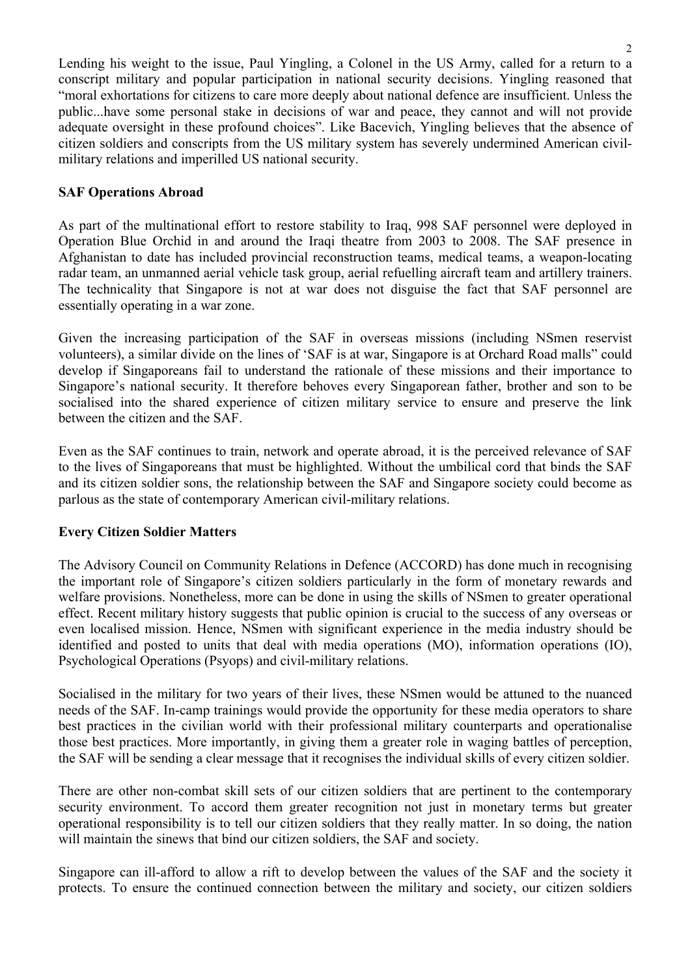Lending his weight to the issue, Paul Yingling, a Colonel in the US Army, called for a return to a conscript military and popular participation in national security decisions. Yingling reasoned that "moral exhortations for citizens to care more deeply about national defence are insufficient. Unless the public...have some personal stake in decisions of war and peace, they cannot and will not provide adequate oversight in these profound choices". Like Bacevich, Yingling believes that the absence of citizen soldiers and conscripts from the US military system has severely undermined American civilmilitary relations and imperilled US national security.

#### **SAF Operations Abroad**

As part of the multinational effort to restore stability to Iraq, 998 SAF personnel were deployed in Operation Blue Orchid in and around the Iraqi theatre from 2003 to 2008. The SAF presence in Afghanistan to date has included provincial reconstruction teams, medical teams, a weapon-locating radar team, an unmanned aerial vehicle task group, aerial refuelling aircraft team and artillery trainers. The technicality that Singapore is not at war does not disguise the fact that SAF personnel are essentially operating in a war zone.

Given the increasing participation of the SAF in overseas missions (including NSmen reservist volunteers), a similar divide on the lines of 'SAF is at war, Singapore is at Orchard Road malls" could develop if Singaporeans fail to understand the rationale of these missions and their importance to Singapore's national security. It therefore behoves every Singaporean father, brother and son to be socialised into the shared experience of citizen military service to ensure and preserve the link between the citizen and the SAF.

Even as the SAF continues to train, network and operate abroad, it is the perceived relevance of SAF to the lives of Singaporeans that must be highlighted. Without the umbilical cord that binds the SAF and its citizen soldier sons, the relationship between the SAF and Singapore society could become as parlous as the state of contemporary American civil-military relations.

### **Every Citizen Soldier Matters**

The Advisory Council on Community Relations in Defence (ACCORD) has done much in recognising the important role of Singapore's citizen soldiers particularly in the form of monetary rewards and welfare provisions. Nonetheless, more can be done in using the skills of NSmen to greater operational effect. Recent military history suggests that public opinion is crucial to the success of any overseas or even localised mission. Hence, NSmen with significant experience in the media industry should be identified and posted to units that deal with media operations (MO), information operations (IO), Psychological Operations (Psyops) and civil-military relations.

Socialised in the military for two years of their lives, these NSmen would be attuned to the nuanced needs of the SAF. In-camp trainings would provide the opportunity for these media operators to share best practices in the civilian world with their professional military counterparts and operationalise those best practices. More importantly, in giving them a greater role in waging battles of perception, the SAF will be sending a clear message that it recognises the individual skills of every citizen soldier.

There are other non-combat skill sets of our citizen soldiers that are pertinent to the contemporary security environment. To accord them greater recognition not just in monetary terms but greater operational responsibility is to tell our citizen soldiers that they really matter. In so doing, the nation will maintain the sinews that bind our citizen soldiers, the SAF and society.

Singapore can ill-afford to allow a rift to develop between the values of the SAF and the society it protects. To ensure the continued connection between the military and society, our citizen soldiers